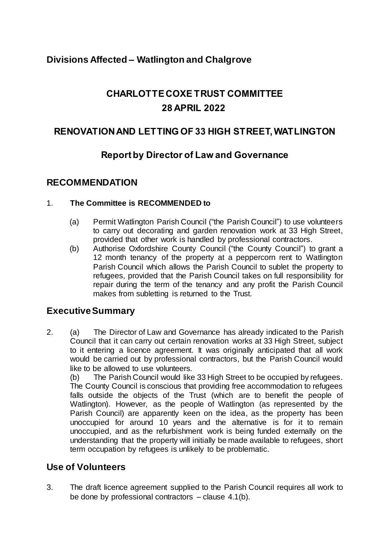# **Divisions Affected – Watlington and Chalgrove**

# **CHARLOTTE COXE TRUST COMMITTEE 28 APRIL 2022**

### **RENOVATION AND LETTING OF 33 HIGH STREET, WATLINGTON**

## **Report by Director of Law and Governance**

#### **RECOMMENDATION**

#### 1. **The Committee is RECOMMENDED to**

- (a) Permit Watlington Parish Council ("the Parish Council") to use volunteers to carry out decorating and garden renovation work at 33 High Street, provided that other work is handled by professional contractors.
- (b) Authorise Oxfordshire County Council ("the County Council") to grant a 12 month tenancy of the property at a peppercorn rent to Watlington Parish Council which allows the Parish Council to sublet the property to refugees, provided that the Parish Council takes on full responsibility for repair during the term of the tenancy and any profit the Parish Council makes from subletting is returned to the Trust.

### **Executive Summary**

2. (a) The Director of Law and Governance has already indicated to the Parish Council that it can carry out certain renovation works at 33 High Street, subject to it entering a licence agreement. It was originally anticipated that all work would be carried out by professional contractors, but the Parish Council would like to be allowed to use volunteers.

(b) The Parish Council would like 33 High Street to be occupied by refugees. The County Council is conscious that providing free accommodation to refugees falls outside the objects of the Trust (which are to benefit the people of Watlington). However, as the people of Watlington (as represented by the Parish Council) are apparently keen on the idea, as the property has been unoccupied for around 10 years and the alternative is for it to remain unoccupied, and as the refurbishment work is being funded externally on the understanding that the property will initially be made available to refugees*,* short term occupation by refugees is unlikely to be problematic.

### **Use of Volunteers**

3. The draft licence agreement supplied to the Parish Council requires all work to be done by professional contractors – clause 4.1(b).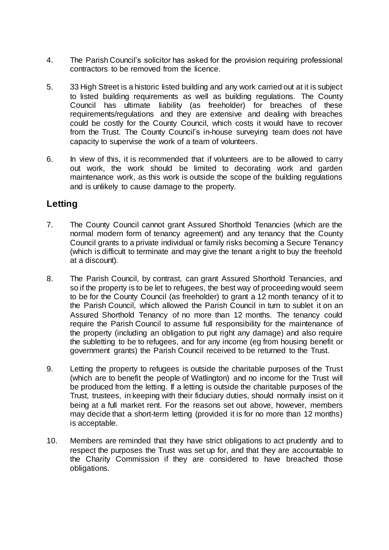- 4. The Parish Council's solicitor has asked for the provision requiring professional contractors to be removed from the licence.
- 5. 33 High Street is a historic listed building and any work carried out at it is subject to listed building requirements as well as building regulations. The County Council has ultimate liability (as freeholder) for breaches of these requirements/regulations and they are extensive and dealing with breaches could be costly for the County Council, which costs it would have to recover from the Trust. The County Council's in-house surveying team does not have capacity to supervise the work of a team of volunteers.
- 6. In view of this, it is recommended that if volunteers are to be allowed to carry out work, the work should be limited to decorating work and garden maintenance work, as this work is outside the scope of the building regulations and is unlikely to cause damage to the property.

## **Letting**

- 7. The County Council cannot grant Assured Shorthold Tenancies (which are the normal modern form of tenancy agreement) and any tenancy that the County Council grants to a private individual or family risks becoming a Secure Tenancy (which is difficult to terminate and may give the tenant a right to buy the freehold at a discount).
- 8. The Parish Council, by contrast, can grant Assured Shorthold Tenancies, and so if the property is to be let to refugees, the best way of proceeding would seem to be for the County Council (as freeholder) to grant a 12 month tenancy of it to the Parish Council, which allowed the Parish Council in turn to sublet it on an Assured Shorthold Tenancy of no more than 12 months. The tenancy could require the Parish Council to assume full responsibility for the maintenance of the property (including an obligation to put right any damage) and also require the subletting to be to refugees, and for any income (eg from housing benefit or government grants) the Parish Council received to be returned to the Trust.
- 9. Letting the property to refugees is outside the charitable purposes of the Trust (which are to benefit the people of Watlington) and no income for the Trust will be produced from the letting. If a letting is outside the charitable purposes of the Trust, trustees, in keeping with their fiduciary duties, should normally insist on it being at a full market rent. For the reasons set out above, however, members may decide that a short-term letting (provided it is for no more than 12 months) is acceptable.
- 10. Members are reminded that they have strict obligations to act prudently and to respect the purposes the Trust was set up for, and that they are accountable to the Charity Commission if they are considered to have breached those obligations.